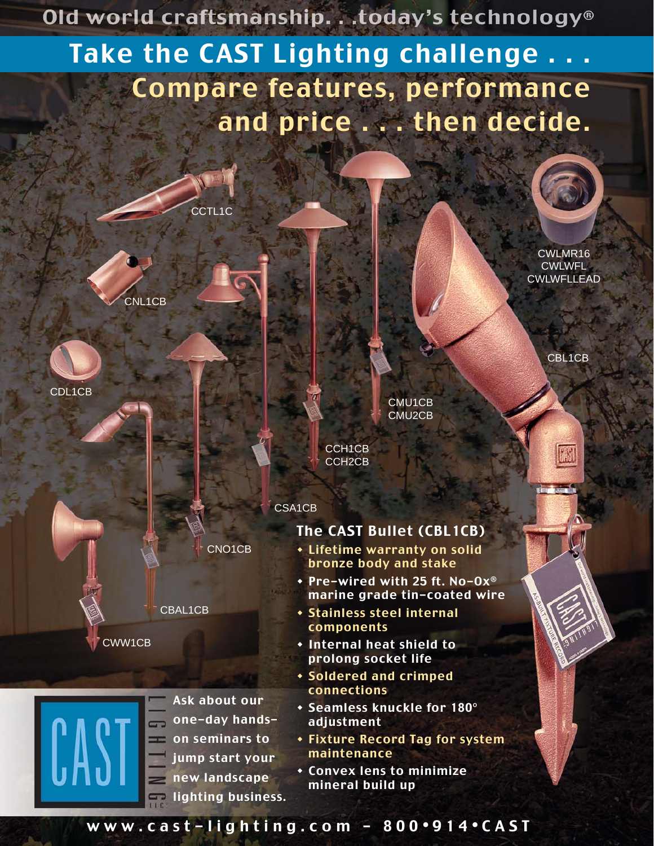Old world craftsmanship. . . today's technology® Take the CAST Lighting challenge . . . Compare features, performance and price . . . then decide.

CCTL<sub>1C</sub>



CDL1CB

CNO1CB

CBAL1CB

CWW1CB



Ask about our one-day handson seminars to jump start your new landscape **lighting business.** 

CWLMR16 **CWLWFL CWLWFLLEAD** 

CBL1CB

CMU1CB CMU2CB

CCH1CB CCH2CB

#### CSA1CB

#### The CAST Bullet (CBL1CB)

- Lifetime warranty on solid bronze body and stake
- Pre-wired with 25 ft. No-Ox® marine grade tin-coated wire
- Stainless steel internal components
- Internal heat shield to prolong socket life
- Soldered and crimped connections
- **\* Seamless knuckle for 180°** adjustment
- Fixture Record Tag for system maintenance
- Convex lens to minimize mineral build up

www.cast-lighting.com – 800 • 914 • CAST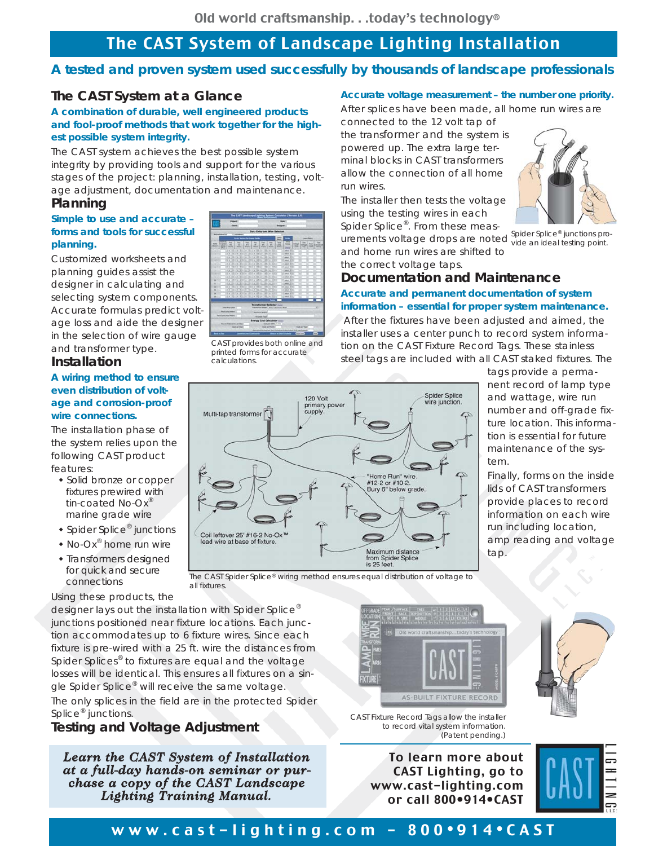# The CAST System of Landscape Lighting Installation

#### **A tested and proven system used successfully by thousands of landscape professionals**

#### **The CAST System at a Glance**

#### **A combination of durable, well engineered products and fool-proof methods that work together for the highest possible system integrity.**

The CAST system achieves the best possible system integrity by providing tools and support for the various stages of the project: planning, installation, testing, voltage adjustment, documentation and maintenance.

#### **Planning**

#### **Simple to use and accurate – forms and tools for successful planning.**

Customized worksheets and planning guides assist the designer in calculating and selecting system components. Accurate formulas predict voltage loss and aide the designer in the selection of wire gauge and transformer type.

#### **Installation**

**A wiring method to ensure even distribution of voltage and corrosion-proof wire connections.**

The installation phase of the system relies upon the following CAST product features:

- Solid bronze or copper fixtures prewired with tin-coated No-Ox® marine grade wire
- ◆ Spider Splice<sup>®</sup> junctions
- No-Ox<sup>®</sup> home run wire
- Transformers designed for quick and secure connections
- Using these products, the

designer lays out the installation with Spider Splice® junctions positioned near fixture locations. Each junction accommodates up to 6 fixture wires. Since each fixture is pre-wired with a 25 ft. wire the distances from Spider Splices® to fixtures are equal and the voltage losses will be identical. This ensures all fixtures on a single Spider Splice® will receive the same voltage. The only splices in the field are in the protected Spider Splice® junctions.

#### **Testing and Voltage Adjustment**

*Learn the CAST System of Installation at a full-day hands-on seminar or purchase a copy of the CAST Landscape Lighting Training Manual.*

# $H -$ **THERE** EEEEEE

CAST provides both online and printed forms for accurate calculations.

#### **Accurate voltage measurement – the number one priority.**

After splices have been made, all home run wires are

connected to the 12 volt tap of the transformer and the system is powered up. The extra large terminal blocks in CAST transformers allow the connection of all home run wires.

The installer then tests the voltage using the testing wires in each Spider Splice®. From these meas-

urements voltage drops are noted Spider Splice® junctions proand home run wires are shifted to

the correct voltage taps.



vide an ideal testing point.

**Documentation and Maintenance Accurate and permanent documentation of system information – essential for proper system maintenance.**

After the fixtures have been adjusted and aimed, the installer uses a center punch to record system information on the CAST Fixture Record Tags. These stainless steel tags are included with all CAST staked fixtures. The



The CAST Spider Splice® wiring method ensures equal distribution of voltage to all fixtures.



CAST Fixture Record Tags allow the installer to record vital system information. (Patent pending.)

To learn more about CAST Lighting, go to www.cast-lighting.com or call 800•914•CAST



 $\geq$ ౚ

### www.cast-lighting.com – 800 • 914 • CAST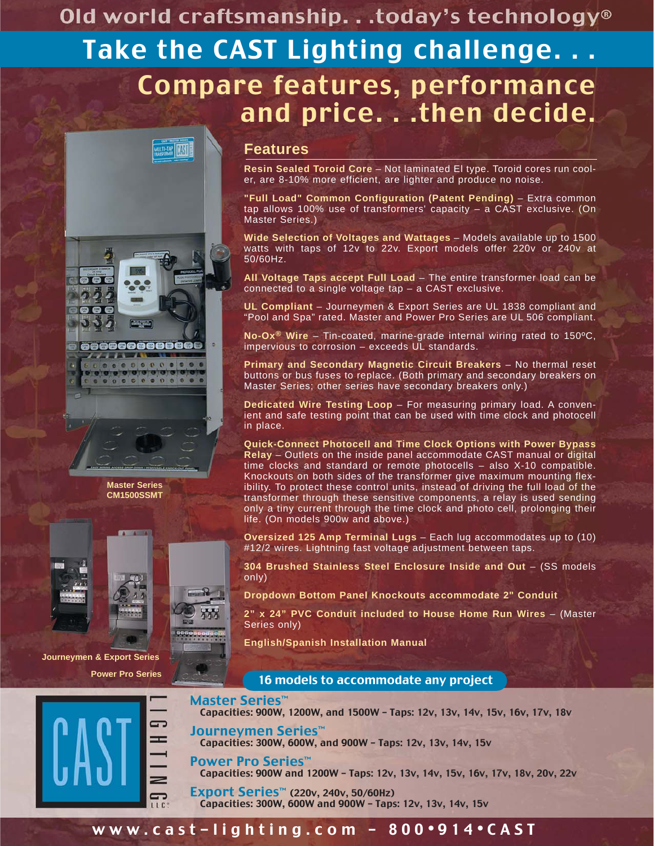# Old world craftsmanship. . .today's technology<sup>®</sup> Take the CAST Lighting challenge... Compare features, performance and price. . .then decide.







**Power Pro Series Journeymen & Export Series**

#### **Features**

**Resin Sealed Toroid Core** – Not laminated El type. Toroid cores run cooler, are 8-10% more efficient, are lighter and produce no noise.

**"Full Load" Common Configuration (Patent Pending)** – Extra common tap allows 100% use of transformers' capacity – a CAST exclusive. (On Master Series.)

**Wide Selection of Voltages and Wattages** – Models available up to 1500 watts with taps of 12v to 22v. Export models offer 220v or 240v at 50/60Hz.

**All Voltage Taps accept Full Load** – The entire transformer load can be connected to a single voltage tap – a CAST exclusive.

**UL Compliant** – Journeymen & Export Series are UL 1838 compliant and "Pool and Spa" rated. Master and Power Pro Series are UL 506 compliant.

**No-Ox® Wire** – Tin-coated, marine-grade internal wiring rated to 150ºC, impervious to corrosion – exceeds UL standards.

**Primary and Secondary Magnetic Circuit Breakers** – No thermal reset buttons or bus fuses to replace. (Both primary and secondary breakers on Master Series; other series have secondary breakers only.)

**Dedicated Wire Testing Loop** – For measuring primary load. A convenient and safe testing point that can be used with time clock and photocell in place.

**Quick-Connect Photocell and Time Clock Options with Power Bypass Relay** – Outlets on the inside panel accommodate CAST manual or digital time clocks and standard or remote photocells – also X-10 compatible. Knockouts on both sides of the transformer give maximum mounting flexibility. To protect these control units, instead of driving the full load of the transformer through these sensitive components, a relay is used sending only a tiny current through the time clock and photo cell, prolonging their life. (On models 900w and above.)

**Oversized 125 Amp Terminal Lugs** – Each lug accommodates up to (10) #12/2 wires. Lightning fast voltage adjustment between taps.

**304 Brushed Stainless Steel Enclosure Inside and Out** – (SS models only)

**Dropdown Bottom Panel Knockouts accommodate 2" Conduit**

**2" x 24" PVC Conduit included to House Home Run Wires** – (Master Series only)

**English/Spanish Installation Manual**

16 models to accommodate any project



#### Master Series™

Capacities: 900W, 1200W, and 1500W – Taps: 12v, 13v, 14v, 15v, 16v, 17v, 18v

Journeymen Series™

Capacities: 300W, 600W, and 900W – Taps: 12v, 13v, 14v, 15v

Power Pro Series™ Capacities: 900W and 1200W – Taps: 12v, 13v, 14v, 15v, 16v, 17v, 18v, 20v, 22v

Export Series™ (220v, 240v, 50/60Hz) Capacities: 300W, 600W and 900W – Taps: 12v, 13v, 14v, 15v

# www.cast-lighting.com – 800 • 914 • CAST